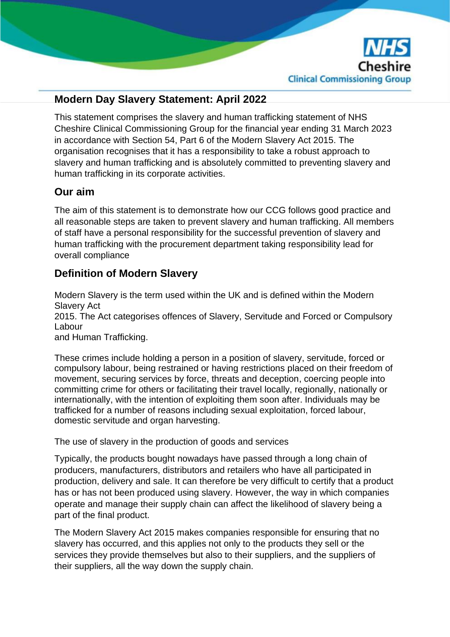

# **Modern Day Slavery Statement: April 2022**

This statement comprises the slavery and human trafficking statement of NHS Cheshire Clinical Commissioning Group for the financial year ending 31 March 2023 in accordance with Section 54, Part 6 of the Modern Slavery Act 2015. The organisation recognises that it has a responsibility to take a robust approach to slavery and human trafficking and is absolutely committed to preventing slavery and human trafficking in its corporate activities.

#### **Our aim**

The aim of this statement is to demonstrate how our CCG follows good practice and all reasonable steps are taken to prevent slavery and human trafficking. All members of staff have a personal responsibility for the successful prevention of slavery and human trafficking with the procurement department taking responsibility lead for overall compliance

## **Definition of Modern Slavery**

Modern Slavery is the term used within the UK and is defined within the Modern Slavery Act 2015. The Act categorises offences of Slavery, Servitude and Forced or Compulsory Labour and Human Trafficking.

These crimes include holding a person in a position of slavery, servitude, forced or compulsory labour, being restrained or having restrictions placed on their freedom of movement, securing services by force, threats and deception, coercing people into committing crime for others or facilitating their travel locally, regionally, nationally or internationally, with the intention of exploiting them soon after. Individuals may be trafficked for a number of reasons including sexual exploitation, forced labour, domestic servitude and organ harvesting.

The use of slavery in the production of goods and services

Typically, the products bought nowadays have passed through a long chain of producers, manufacturers, distributors and retailers who have all participated in production, delivery and sale. It can therefore be very difficult to certify that a product has or has not been produced using slavery. However, the way in which companies operate and manage their supply chain can affect the likelihood of slavery being a part of the final product.

The Modern Slavery Act 2015 makes companies responsible for ensuring that no slavery has occurred, and this applies not only to the products they sell or the services they provide themselves but also to their suppliers, and the suppliers of their suppliers, all the way down the supply chain.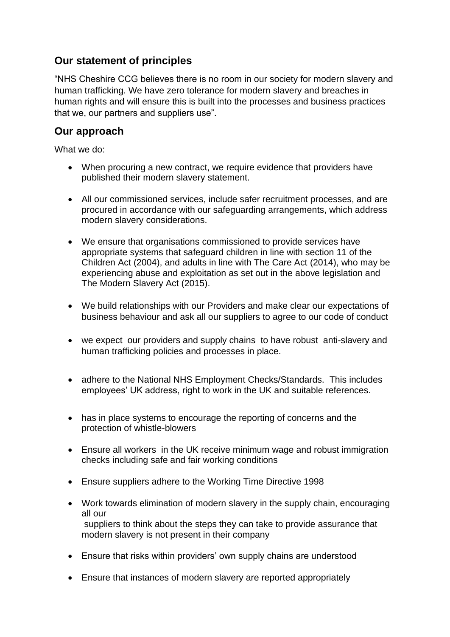## **Our statement of principles**

"NHS Cheshire CCG believes there is no room in our society for modern slavery and human trafficking. We have zero tolerance for modern slavery and breaches in human rights and will ensure this is built into the processes and business practices that we, our partners and suppliers use".

#### **Our approach**

What we do:

- When procuring a new contract, we require evidence that providers have published their modern slavery statement.
- All our commissioned services, include safer recruitment processes, and are procured in accordance with our safeguarding arrangements, which address modern slavery considerations.
- We ensure that organisations commissioned to provide services have appropriate systems that safeguard children in line with section 11 of the Children Act (2004), and adults in line with The Care Act (2014), who may be experiencing abuse and exploitation as set out in the above legislation and The Modern Slavery Act (2015).
- We build relationships with our Providers and make clear our expectations of business behaviour and ask all our suppliers to agree to our code of conduct
- we expect our providers and supply chains to have robust anti-slavery and human trafficking policies and processes in place.
- adhere to the National NHS Employment Checks/Standards. This includes employees' UK address, right to work in the UK and suitable references.
- has in place systems to encourage the reporting of concerns and the protection of whistle-blowers
- Ensure all workers in the UK receive minimum wage and robust immigration checks including safe and fair working conditions
- Ensure suppliers adhere to the Working Time Directive 1998
- Work towards elimination of modern slavery in the supply chain, encouraging all our suppliers to think about the steps they can take to provide assurance that modern slavery is not present in their company
- Ensure that risks within providers' own supply chains are understood
- Ensure that instances of modern slavery are reported appropriately